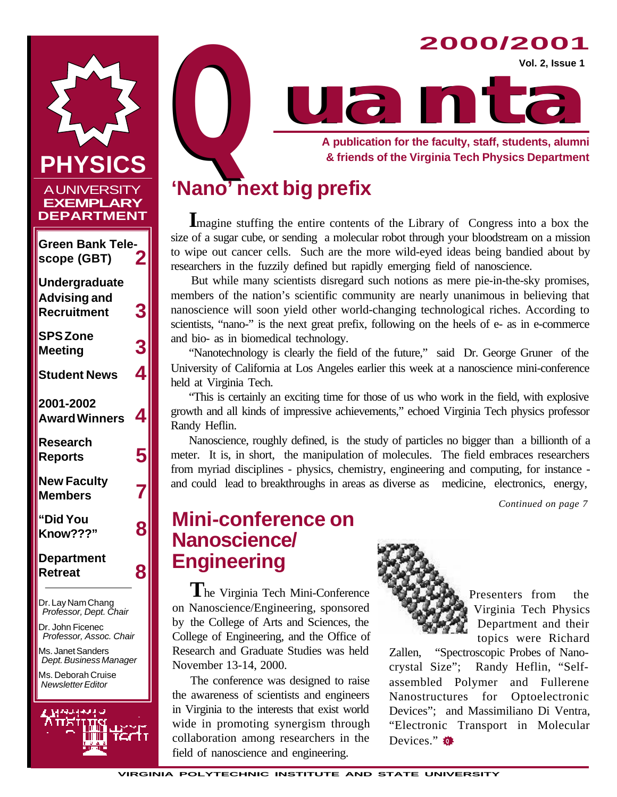

Dr. Lay Nam Chang  *Professor, Dept. Chair*

Dr. John Ficenec  *Professor, Assoc. Chair*

Ms. Janet Sanders  *Dept. Business Manager*

Ms. Deborah Cruise  *Newsletter Editor*





## **'Nano' next big prefix**

**I**magine stuffing the entire contents of the Library of Congress into a box the size of a sugar cube, or sending a molecular robot through your bloodstream on a mission to wipe out cancer cells. Such are the more wild-eyed ideas being bandied about by researchers in the fuzzily defined but rapidly emerging field of nanoscience.

But while many scientists disregard such notions as mere pie-in-the-sky promises, members of the nation's scientific community are nearly unanimous in believing that nanoscience will soon yield other world-changing technological riches. According to scientists, "nano-" is the next great prefix, following on the heels of e- as in e-commerce and bio- as in biomedical technology.

"Nanotechnology is clearly the field of the future," said Dr. George Gruner of the University of California at Los Angeles earlier this week at a nanoscience mini-conference held at Virginia Tech.

"This is certainly an exciting time for those of us who work in the field, with explosive growth and all kinds of impressive achievements," echoed Virginia Tech physics professor Randy Heflin.

Nanoscience, roughly defined, is the study of particles no bigger than a billionth of a meter. It is, in short, the manipulation of molecules. The field embraces researchers from myriad disciplines - physics, chemistry, engineering and computing, for instance and could lead to breakthroughs in areas as diverse as medicine, electronics, energy,

*Continued on page 7*

## **Mini-conference on Nanoscience/ Engineering**

**T**he Virginia Tech Mini-Conference on Nanoscience/Engineering, sponsored by the College of Arts and Sciences, the College of Engineering, and the Office of Research and Graduate Studies was held November 13-14, 2000.

The conference was designed to raise the awareness of scientists and engineers in Virginia to the interests that exist world wide in promoting synergism through collaboration among researchers in the field of nanoscience and engineering.



Presenters from the Virginia Tech Physics Department and their topics were Richard

Zallen, "Spectroscopic Probes of Nanocrystal Size"; Randy Heflin, "Selfassembled Polymer and Fullerene Nanostructures for Optoelectronic Devices"; and Massimiliano Di Ventra, "Electronic Transport in Molecular Devices." **Q**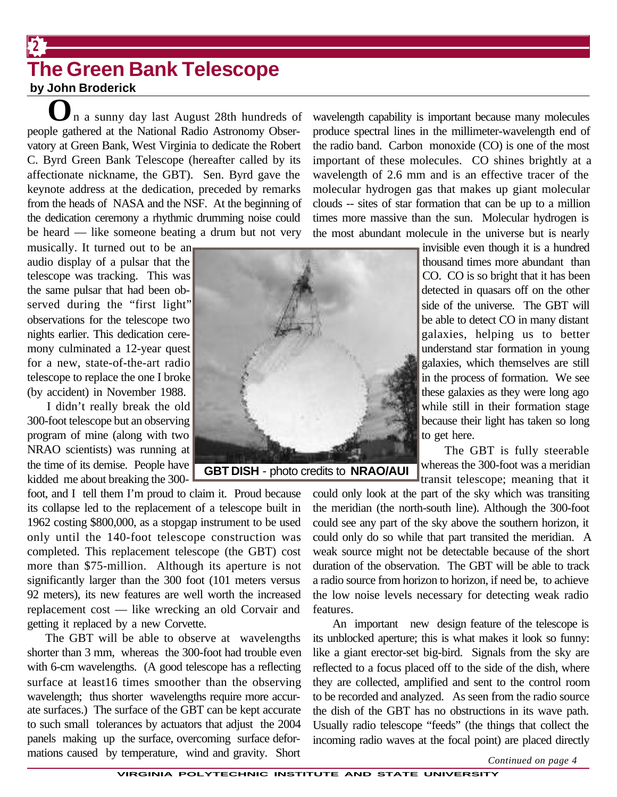### **The Green Bank Telescope by John Broderick**

**2**

**O**n a sunny day last August 28th hundreds of people gathered at the National Radio Astronomy Observatory at Green Bank, West Virginia to dedicate the Robert C. Byrd Green Bank Telescope (hereafter called by its affectionate nickname, the GBT). Sen. Byrd gave the keynote address at the dedication, preceded by remarks from the heads of NASA and the NSF. At the beginning of the dedication ceremony a rhythmic drumming noise could be heard — like someone beating a drum but not very

musically. It turned out to be an audio display of a pulsar that the telescope was tracking. This was the same pulsar that had been observed during the "first light" observations for the telescope two nights earlier. This dedication ceremony culminated a 12-year quest for a new, state-of-the-art radio telescope to replace the one I broke (by accident) in November 1988.

I didn't really break the old 300-foot telescope but an observing program of mine (along with two NRAO scientists) was running at the time of its demise. People have kidded me about breaking the 300-



**GBT DISH** - photo credits to **NRAO/AUI**

foot, and I tell them I'm proud to claim it. Proud because its collapse led to the replacement of a telescope built in 1962 costing \$800,000, as a stopgap instrument to be used only until the 140-foot telescope construction was completed. This replacement telescope (the GBT) cost more than \$75-million. Although its aperture is not significantly larger than the 300 foot (101 meters versus 92 meters), its new features are well worth the increased replacement cost — like wrecking an old Corvair and getting it replaced by a new Corvette.

The GBT will be able to observe at wavelengths shorter than 3 mm, whereas the 300-foot had trouble even with 6-cm wavelengths. (A good telescope has a reflecting surface at least16 times smoother than the observing wavelength; thus shorter wavelengths require more accurate surfaces.) The surface of the GBT can be kept accurate to such small tolerances by actuators that adjust the 2004 panels making up the surface, overcoming surface deformations caused by temperature, wind and gravity. Short wavelength capability is important because many molecules produce spectral lines in the millimeter-wavelength end of the radio band. Carbon monoxide (CO) is one of the most important of these molecules. CO shines brightly at a wavelength of 2.6 mm and is an effective tracer of the molecular hydrogen gas that makes up giant molecular clouds -- sites of star formation that can be up to a million times more massive than the sun. Molecular hydrogen is the most abundant molecule in the universe but is nearly

> invisible even though it is a hundred thousand times more abundant than CO. CO is so bright that it has been detected in quasars off on the other side of the universe. The GBT will be able to detect CO in many distant galaxies, helping us to better understand star formation in young galaxies, which themselves are still in the process of formation. We see these galaxies as they were long ago while still in their formation stage because their light has taken so long to get here.

 The GBT is fully steerable whereas the 300-foot was a meridian transit telescope; meaning that it

could only look at the part of the sky which was transiting the meridian (the north-south line). Although the 300-foot could see any part of the sky above the southern horizon, it could only do so while that part transited the meridian. A weak source might not be detectable because of the short duration of the observation. The GBT will be able to track a radio source from horizon to horizon, if need be, to achieve the low noise levels necessary for detecting weak radio features.

An important new design feature of the telescope is its unblocked aperture; this is what makes it look so funny: like a giant erector-set big-bird. Signals from the sky are reflected to a focus placed off to the side of the dish, where they are collected, amplified and sent to the control room to be recorded and analyzed. As seen from the radio source the dish of the GBT has no obstructions in its wave path. Usually radio telescope "feeds" (the things that collect the incoming radio waves at the focal point) are placed directly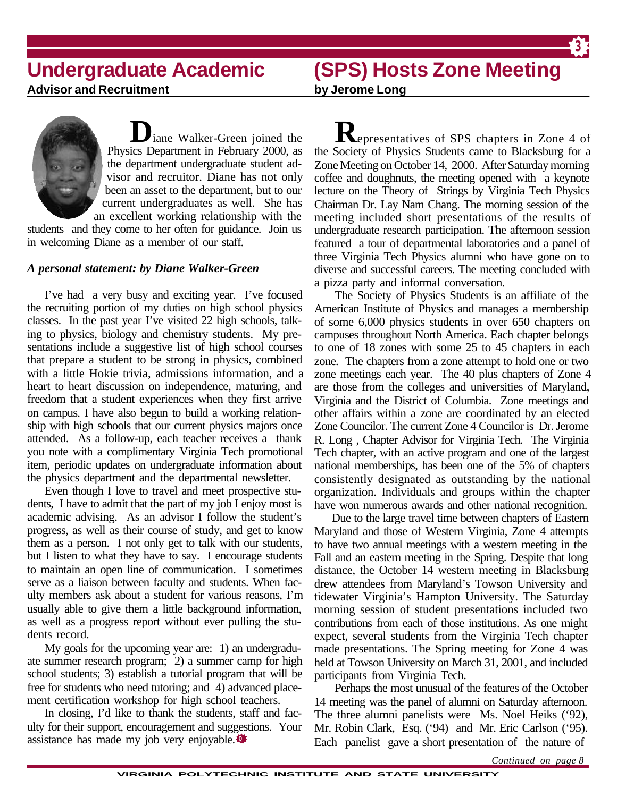## **Undergraduate Academic**

## **(SPS) Hosts Zone Meeting**

**3**

**Advisor and Recruitment**

**by Jerome Long**



students and they come to her often for guidance. Join us in welcoming Diane as a member of our staff.

### *A personal statement: by Diane Walker-Green*

I've had a very busy and exciting year. I've focused the recruiting portion of my duties on high school physics classes. In the past year I've visited 22 high schools, talking to physics, biology and chemistry students. My presentations include a suggestive list of high school courses that prepare a student to be strong in physics, combined with a little Hokie trivia, admissions information, and a heart to heart discussion on independence, maturing, and freedom that a student experiences when they first arrive on campus. I have also begun to build a working relationship with high schools that our current physics majors once attended. As a follow-up, each teacher receives a thank you note with a complimentary Virginia Tech promotional item, periodic updates on undergraduate information about the physics department and the departmental newsletter.

Even though I love to travel and meet prospective students, I have to admit that the part of my job I enjoy most is academic advising. As an advisor I follow the student's progress, as well as their course of study, and get to know them as a person. I not only get to talk with our students, but I listen to what they have to say. I encourage students to maintain an open line of communication. I sometimes serve as a liaison between faculty and students. When faculty members ask about a student for various reasons, I'm usually able to give them a little background information, as well as a progress report without ever pulling the students record.

My goals for the upcoming year are: 1) an undergraduate summer research program; 2) a summer camp for high school students; 3) establish a tutorial program that will be free for students who need tutoring; and 4) advanced placement certification workshop for high school teachers.

In closing, I'd like to thank the students, staff and faculty for their support, encouragement and suggestions. Your assistance has made my job very enjoyable. **<sup>Q</sup>**

**R**epresentatives of SPS chapters in Zone 4 of the Society of Physics Students came to Blacksburg for a Zone Meeting on October 14, 2000. After Saturday morning coffee and doughnuts, the meeting opened with a keynote lecture on the Theory of Strings by Virginia Tech Physics Chairman Dr. Lay Nam Chang. The morning session of the meeting included short presentations of the results of undergraduate research participation. The afternoon session featured a tour of departmental laboratories and a panel of three Virginia Tech Physics alumni who have gone on to diverse and successful careers. The meeting concluded with a pizza party and informal conversation.

have won numerous awards and other national recognition. The Society of Physics Students is an affiliate of the American Institute of Physics and manages a membership of some 6,000 physics students in over 650 chapters on campuses throughout North America. Each chapter belongs to one of 18 zones with some 25 to 45 chapters in each zone. The chapters from a zone attempt to hold one or two zone meetings each year. The 40 plus chapters of Zone 4 are those from the colleges and universities of Maryland, Virginia and the District of Columbia. Zone meetings and other affairs within a zone are coordinated by an elected Zone Councilor. The current Zone 4 Councilor is Dr. Jerome R. Long , Chapter Advisor for Virginia Tech. The Virginia Tech chapter, with an active program and one of the largest national memberships, has been one of the 5% of chapters consistently designated as outstanding by the national organization. Individuals and groups within the chapter

Due to the large travel time between chapters of Eastern Maryland and those of Western Virginia, Zone 4 attempts to have two annual meetings with a western meeting in the Fall and an eastern meeting in the Spring. Despite that long distance, the October 14 western meeting in Blacksburg drew attendees from Maryland's Towson University and tidewater Virginia's Hampton University. The Saturday morning session of student presentations included two contributions from each of those institutions. As one might expect, several students from the Virginia Tech chapter made presentations. The Spring meeting for Zone 4 was held at Towson University on March 31, 2001, and included participants from Virginia Tech.

Perhaps the most unusual of the features of the October 14 meeting was the panel of alumni on Saturday afternoon. The three alumni panelists were Ms. Noel Heiks ('92), Mr. Robin Clark, Esq. ('94) and Mr. Eric Carlson ('95). Each panelist gave a short presentation of the nature of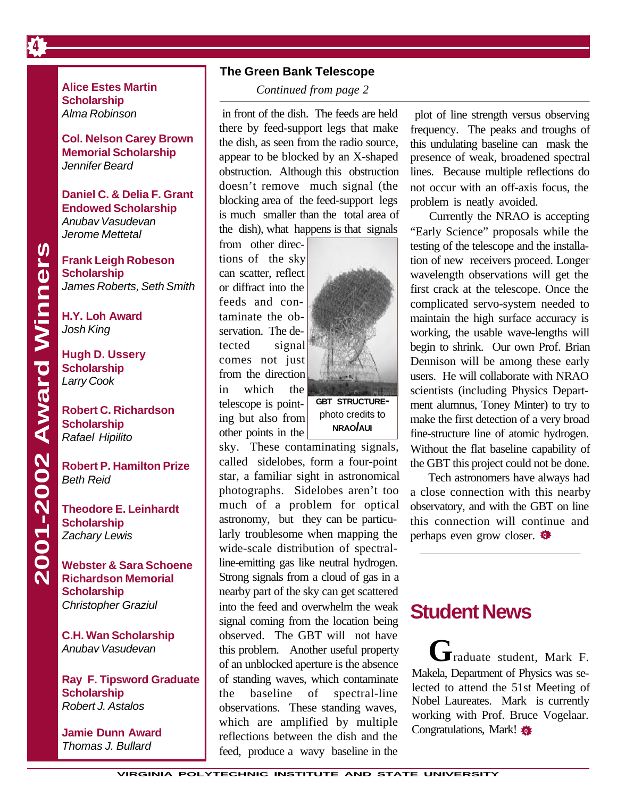**Alice Estes Martin Scholarship** *Alma Robinson*

**Col. Nelson Carey Brown Memorial Scholarship** *Jennifer Beard*

**Daniel C. & Delia F. Grant Endowed Scholarship** *Anubav Vasudevan Jerome Mettetal*

**Frank Leigh Robeson Scholarship** *James Roberts, Seth Smith*

**H.Y. Loh Award** *Josh King*

**Hugh D. Ussery Scholarship** *Larry Cook*

2001-2002 Award Winners

**Robert C. Richardson Scholarship** *Rafael Hipilito*

**Robert P. Hamilton Prize** *Beth Reid*

**Theodore E. Leinhardt Scholarship** *Zachary Lewis*

**2001-2002 Award Winners Webster & Sara Schoene Richardson Memorial Scholarship** *Christopher Graziul*

> **C.H. Wan Scholarship** *Anubav Vasudevan*

**Ray F. Tipsword Graduate Scholarship** *Robert J. Astalos*

**Jamie Dunn Award** *Thomas J. Bullard*

### **The Green Bank Telescope**

 *Continued from page 2*

 in front of the dish. The feeds are held there by feed-support legs that make the dish, as seen from the radio source, appear to be blocked by an X-shaped obstruction. Although this obstruction doesn't remove much signal (the blocking area of the feed-support legs is much smaller than the total area of the dish), what happens is that signals

from other directions of the sky can scatter, reflect or diffract into the feeds and contaminate the observation. The detected signal comes not just from the direction in which the

telescope is pointing but also from other points in the

**GBT STRUCTURE**photo credits to **NRAO/AUI**

sky. These contaminating signals, called sidelobes, form a four-point star, a familiar sight in astronomical photographs. Sidelobes aren't too much of a problem for optical astronomy, but they can be particularly troublesome when mapping the wide-scale distribution of spectralline-emitting gas like neutral hydrogen. Strong signals from a cloud of gas in a nearby part of the sky can get scattered into the feed and overwhelm the weak signal coming from the location being observed. The GBT will not have this problem. Another useful property of an unblocked aperture is the absence of standing waves, which contaminate the baseline of spectral-line observations. These standing waves, which are amplified by multiple reflections between the dish and the feed, produce a wavy baseline in the

not occur with an off-axis focus, the problem is neatly avoided. plot of line strength versus observing frequency. The peaks and troughs of this undulating baseline can mask the presence of weak, broadened spectral lines. Because multiple reflections do

Currently the NRAO is accepting "Early Science" proposals while the testing of the telescope and the installation of new receivers proceed. Longer wavelength observations will get the first crack at the telescope. Once the complicated servo-system needed to maintain the high surface accuracy is working, the usable wave-lengths will begin to shrink. Our own Prof. Brian Dennison will be among these early users. He will collaborate with NRAO scientists (including Physics Department alumnus, Toney Minter) to try to make the first detection of a very broad fine-structure line of atomic hydrogen. Without the flat baseline capability of the GBT this project could not be done.

perhaps even grow closer. Tech astronomers have always had a close connection with this nearby observatory, and with the GBT on line this connection will continue and

### **Student News**

**G**raduate student, Mark F. Makela, Department of Physics was selected to attend the 51st Meeting of Nobel Laureates. Mark is currently working with Prof. Bruce Vogelaar. Congratulations, Mark! **<sup>Q</sup>**

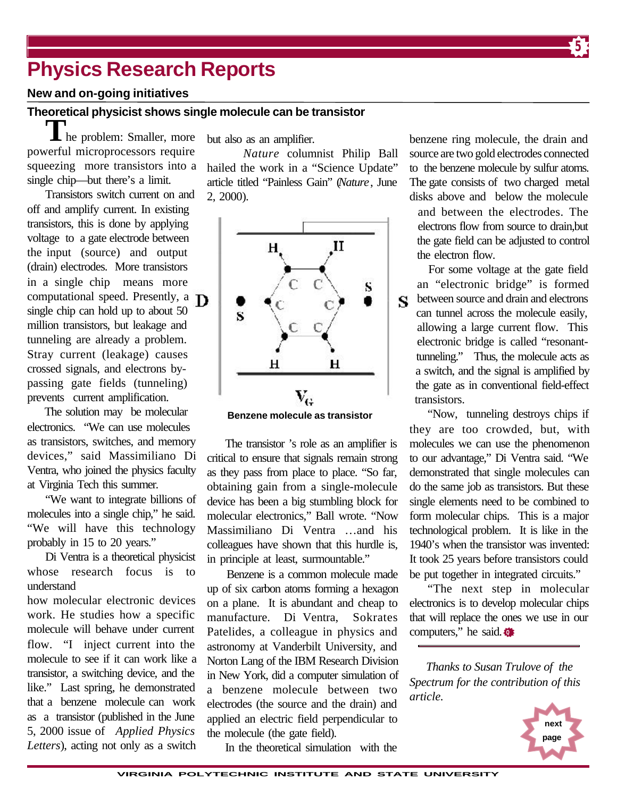## **Physics Research Reports**

### **New and on-going initiatives**

### **Theoretical physicist shows single molecule can be transistor**

he problem: Smaller, more powerful microprocessors require squeezing more transistors into a single chip—but there's a limit.

Transistors switch current on and off and amplify current. In existing transistors, this is done by applying voltage to a gate electrode between the input (source) and output (drain) electrodes. More transistors in a single chip means more computational speed. Presently, a **D** single chip can hold up to about 50 million transistors, but leakage and tunneling are already a problem. Stray current (leakage) causes crossed signals, and electrons bypassing gate fields (tunneling) prevents current amplification.

The solution may be molecular electronics. "We can use molecules as transistors, switches, and memory devices," said Massimiliano Di Ventra, who joined the physics faculty at Virginia Tech this summer.

"We want to integrate billions of molecules into a single chip," he said. "We will have this technology probably in 15 to 20 years."

Di Ventra is a theoretical physicist whose research focus is to understand

how molecular electronic devices work. He studies how a specific molecule will behave under current flow. "I inject current into the molecule to see if it can work like a transistor, a switching device, and the like." Last spring, he demonstrated that a benzene molecule can work as a transistor (published in the June 5, 2000 issue of *Applied Physics Letters*), acting not only as a switch but also as an amplifier.

*Nature* columnist Philip Ball hailed the work in a "Science Update" article titled "Painless Gain" (*Nature*, June 2, 2000).



**Benzene molecule as transistor**

The transistor 's role as an amplifier is critical to ensure that signals remain strong as they pass from place to place. "So far, obtaining gain from a single-molecule device has been a big stumbling block for molecular electronics," Ball wrote. "Now Massimiliano Di Ventra …and his colleagues have shown that this hurdle is, in principle at least, surmountable."

Benzene is a common molecule made up of six carbon atoms forming a hexagon on a plane. It is abundant and cheap to manufacture. Di Ventra, Sokrates Patelides, a colleague in physics and astronomy at Vanderbilt University, and Norton Lang of the IBM Research Division in New York, did a computer simulation of a benzene molecule between two electrodes (the source and the drain) and applied an electric field perpendicular to the molecule (the gate field).

In the theoretical simulation with the

benzene ring molecule, the drain and source are two gold electrodes connected to the benzene molecule by sulfur atoms. The gate consists of two charged metal disks above and below the molecule

**5**

and between the electrodes. The electrons flow from source to drain,but the gate field can be adjusted to control the electron flow.

For some voltage at the gate field an "electronic bridge" is formed between source and drain and electrons S can tunnel across the molecule easily, allowing a large current flow. This electronic bridge is called "resonanttunneling." Thus, the molecule acts as a switch, and the signal is amplified by the gate as in conventional field-effect transistors.

"Now, tunneling destroys chips if they are too crowded, but, with molecules we can use the phenomenon to our advantage," Di Ventra said. "We demonstrated that single molecules can do the same job as transistors. But these single elements need to be combined to form molecular chips. This is a major technological problem. It is like in the 1940's when the transistor was invented: It took 25 years before transistors could be put together in integrated circuits."

computers," he said. "The next step in molecular electronics is to develop molecular chips that will replace the ones we use in our

*Thanks to Susan Trulove of the Spectrum for the contribution of this article.*

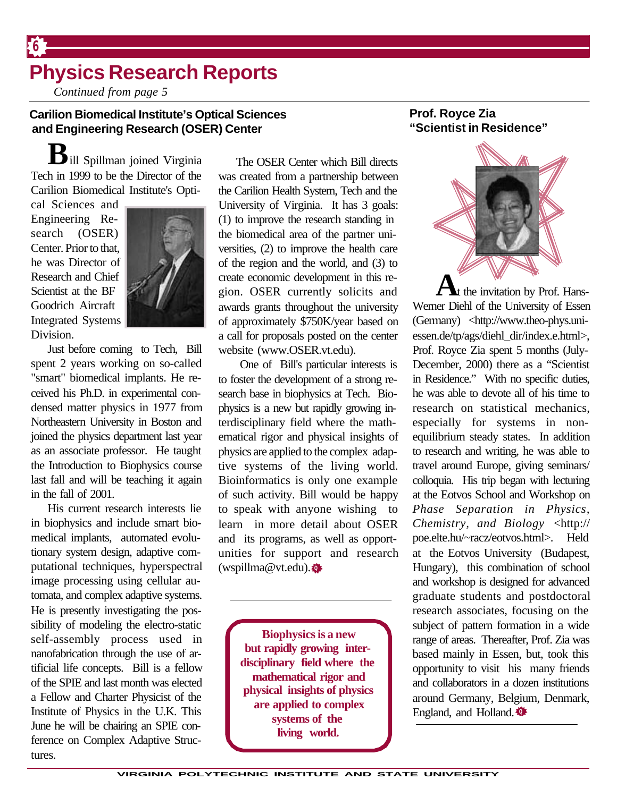## **Physics Research Reports**

*Continued from page 5*

### **Carilion Biomedical Institute's Optical Sciences and Engineering Research (OSER) Center**

**B**ill Spillman joined Virginia Tech in 1999 to be the Director of the Carilion Biomedical Institute's Opti-

cal Sciences and Engineering Research (OSER) Center. Prior to that, he was Director of Research and Chief Scientist at the BF Goodrich Aircraft Integrated Systems Division.

**6**



Just before coming to Tech, Bill spent 2 years working on so-called "smart" biomedical implants. He received his Ph.D. in experimental condensed matter physics in 1977 from Northeastern University in Boston and joined the physics department last year as an associate professor. He taught the Introduction to Biophysics course last fall and will be teaching it again in the fall of 2001.

His current research interests lie in biophysics and include smart biomedical implants, automated evolutionary system design, adaptive computational techniques, hyperspectral image processing using cellular automata, and complex adaptive systems. He is presently investigating the possibility of modeling the electro-static self-assembly process used in nanofabrication through the use of artificial life concepts. Bill is a fellow of the SPIE and last month was elected a Fellow and Charter Physicist of the Institute of Physics in the U.K. This June he will be chairing an SPIE conference on Complex Adaptive Structures.

 The OSER Center which Bill directs was created from a partnership between the Carilion Health System, Tech and the University of Virginia. It has 3 goals: (1) to improve the research standing in the biomedical area of the partner universities, (2) to improve the health care of the region and the world, and (3) to create economic development in this region. OSER currently solicits and awards grants throughout the university of approximately \$750K/year based on a call for proposals posted on the center website (www.OSER.vt.edu).

**Q** (wspillma@vt.edu). One of Bill's particular interests is to foster the development of a strong research base in biophysics at Tech. Biophysics is a new but rapidly growing interdisciplinary field where the mathematical rigor and physical insights of physics are applied to the complex adaptive systems of the living world. Bioinformatics is only one example of such activity. Bill would be happy to speak with anyone wishing to learn in more detail about OSER and its programs, as well as opportunities for support and research

> **Biophysics is a new but rapidly growing interdisciplinary field where the mathematical rigor and physical insights of physics are applied to complex systems of the living world.**

### **Prof. Royce Zia "Scientist in Residence"**



**A**t the invitation by Prof. Hans-Werner Diehl of the University of Essen (Germany) <http://www.theo-phys.uniessen.de/tp/ags/diehl\_dir/index.e.html>, Prof. Royce Zia spent 5 months (July-December, 2000) there as a "Scientist in Residence." With no specific duties, he was able to devote all of his time to research on statistical mechanics, especially for systems in nonequilibrium steady states. In addition to research and writing, he was able to travel around Europe, giving seminars/ colloquia. His trip began with lecturing at the Eotvos School and Workshop on *Phase Separation in Physics, Chemistry, and Biology* <http:// poe.elte.hu/~racz/eotvos.html>. Held at the Eotvos University (Budapest, Hungary), this combination of school and workshop is designed for advanced graduate students and postdoctoral research associates, focusing on the subject of pattern formation in a wide range of areas. Thereafter, Prof. Zia was based mainly in Essen, but, took this opportunity to visit his many friends and collaborators in a dozen institutions around Germany, Belgium, Denmark, England, and Holland. **Q**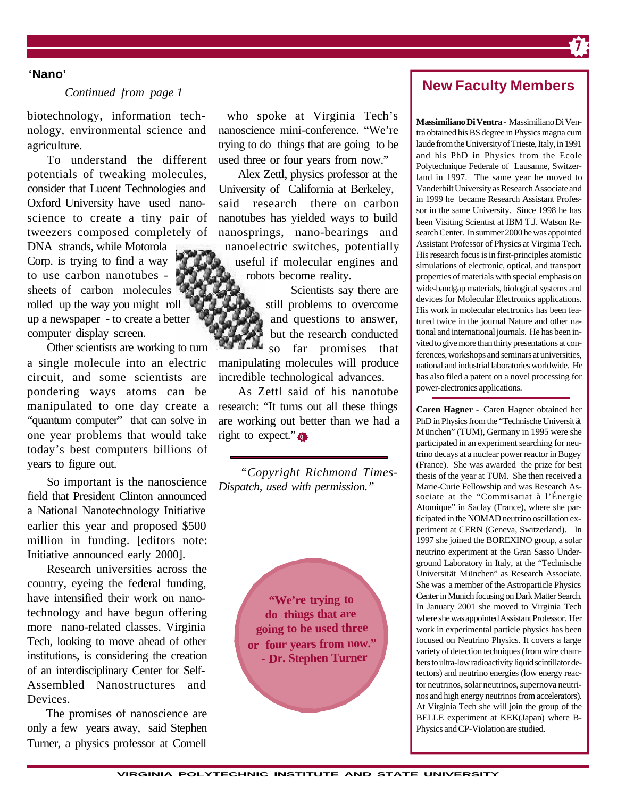#### **'Nano'**

#### *Continued from page 1*

biotechnology, information technology, environmental science and agriculture.

To understand the different potentials of tweaking molecules, consider that Lucent Technologies and Oxford University have used nanoscience to create a tiny pair of tweezers composed completely of DNA strands, while Motorola Corp. is trying to find a way to use carbon nanotubes sheets of carbon molecules rolled up the way you might roll up a newspaper - to create a better computer display screen.

Other scientists are working to turn a single molecule into an electric circuit, and some scientists are pondering ways atoms can be manipulated to one day create a "quantum computer" that can solve in one year problems that would take today's best computers billions of years to figure out.

So important is the nanoscience field that President Clinton announced a National Nanotechnology Initiative earlier this year and proposed \$500 million in funding. [editors note: Initiative announced early 2000].

Research universities across the country, eyeing the federal funding, have intensified their work on nanotechnology and have begun offering more nano-related classes. Virginia Tech, looking to move ahead of other institutions, is considering the creation of an interdisciplinary Center for Self-Assembled Nanostructures and Devices.

The promises of nanoscience are only a few years away, said Stephen Turner, a physics professor at Cornell

 who spoke at Virginia Tech's nanoscience mini-conference. "We're trying to do things that are going to be used three or four years from now."

Alex Zettl, physics professor at the University of California at Berkeley, said research there on carbon nanotubes has yielded ways to build nanosprings, nano-bearings and nanoelectric switches, potentially useful if molecular engines and robots become reality.

Scientists say there are still problems to overcome and questions to answer, but the research conducted so far promises that manipulating molecules will produce incredible technological advances.

**Q** right to expect." As Zettl said of his nanotube research: "It turns out all these things are working out better than we had a

*"Copyright Richmond Times-Dispatch, used with permission."*

> **"We're trying to do things that are going to be used three or four years from now."**  *-* **Dr. Stephen Turner**

### **New Faculty Members**

**7**

**Massimiliano Di Ventra -** Massimiliano Di Ventra obtained his BS degree in Physics magna cum laude from the University of Trieste, Italy, in 1991 and his PhD in Physics from the Ecole Polytechnique Federale of Lausanne, Switzerland in 1997. The same year he moved to Vanderbilt University as Research Associate and in 1999 he became Research Assistant Professor in the same University. Since 1998 he has been Visiting Scientist at IBM T.J. Watson Research Center. In summer 2000 he was appointed Assistant Professor of Physics at Virginia Tech. His research focus is in first-principles atomistic simulations of electronic, optical, and transport properties of materials with special emphasis on wide-bandgap materials, biological systems and devices for Molecular Electronics applications. His work in molecular electronics has been featured twice in the journal Nature and other national and international journals. He has been invited to give more than thirty presentations at conferences, workshops and seminars at universities, national and industrial laboratories worldwide. He has also filed a patent on a novel processing for power-electronics applications.

**Caren Hagner -** Caren Hagner obtained her PhD in Physics from the "Technische Universit ät München" (TUM), Germany in 1995 were she participated in an experiment searching for neutrino decays at a nuclear power reactor in Bugey (France). She was awarded the prize for best thesis of the year at TUM. She then received a Marie-Curie Fellowship and was Research Associate at the "Commisariat à l'Énergie Atomique" in Saclay (France), where she participated in the NOMAD neutrino oscillation experiment at CERN (Geneva, Switzerland). In 1997 she joined the BOREXINO group, a solar neutrino experiment at the Gran Sasso Underground Laboratory in Italy, at the "Technische Universität München" as Research Associate. She was a member of the Astroparticle Physics Center in Munich focusing on Dark Matter Search. In January 2001 she moved to Virginia Tech where she was appointed Assistant Professor. Her work in experimental particle physics has been focused on Neutrino Physics. It covers a large variety of detection techniques (from wire chambers to ultra-low radioactivity liquid scintillator detectors) and neutrino energies (low energy reactor neutrinos, solar neutrinos, supernova neutrinos and high energy neutrinos from accelerators). At Virginia Tech she will join the group of the BELLE experiment at KEK(Japan) where B-Physics and CP-Violation are studied.